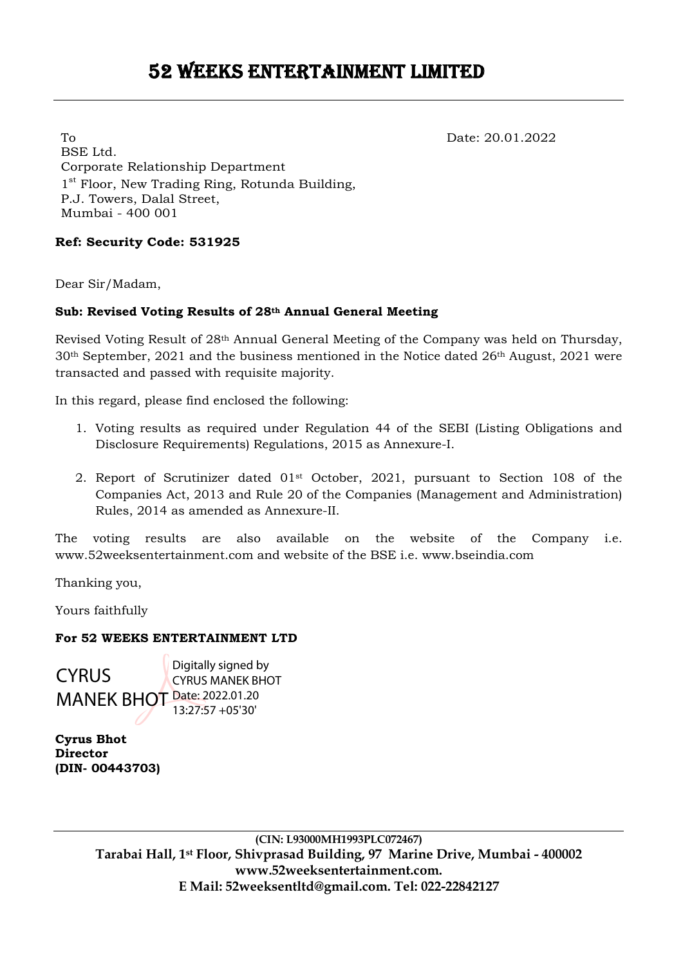To Date: 20.01.2022 BSE Ltd. Corporate Relationship Department 1<sup>st</sup> Floor, New Trading Ring, Rotunda Building, P.J. Towers, Dalal Street, Mumbai - 400 001

# **Ref: Security Code: 531925**

Dear Sir/Madam,

# **Sub: Revised Voting Results of 28th Annual General Meeting**

Revised Voting Result of 28th Annual General Meeting of the Company was held on Thursday,  $30<sup>th</sup>$  September, 2021 and the business mentioned in the Notice dated 26<sup>th</sup> August, 2021 were transacted and passed with requisite majority.

In this regard, please find enclosed the following:

- 1. Voting results as required under Regulation 44 of the SEBI (Listing Obligations and Disclosure Requirements) Regulations, 2015 as Annexure-I.
- 2. Report of Scrutinizer dated 01st October, 2021, pursuant to Section 108 of the Companies Act, 2013 and Rule 20 of the Companies (Management and Administration) Rules, 2014 as amended as Annexure-II.

The voting results are also available on the website of the Company i.e. www.52weeksentertainment.com and website of the BSE i.e. www.bseindia.com

Thanking you,

Yours faithfully

### **For 52 WEEKS ENTERTAINMENT LTD**

**CYRUS** MANEK BHOT Date: 2022.01.20 Digitally signed by CYRUS MANEK BHOT 13:27:57 +05'30'

**Cyrus Bhot Director (DIN- 00443703)**

> **(CIN: L93000MH1993PLC072467) Tarabai Hall, 1st Floor, Shivprasad Building, 97 Marine Drive, Mumbai - 400002 www.52weeksentertainment.com. E Mail: 52weeksentltd@gmail.com. Tel: 022-22842127**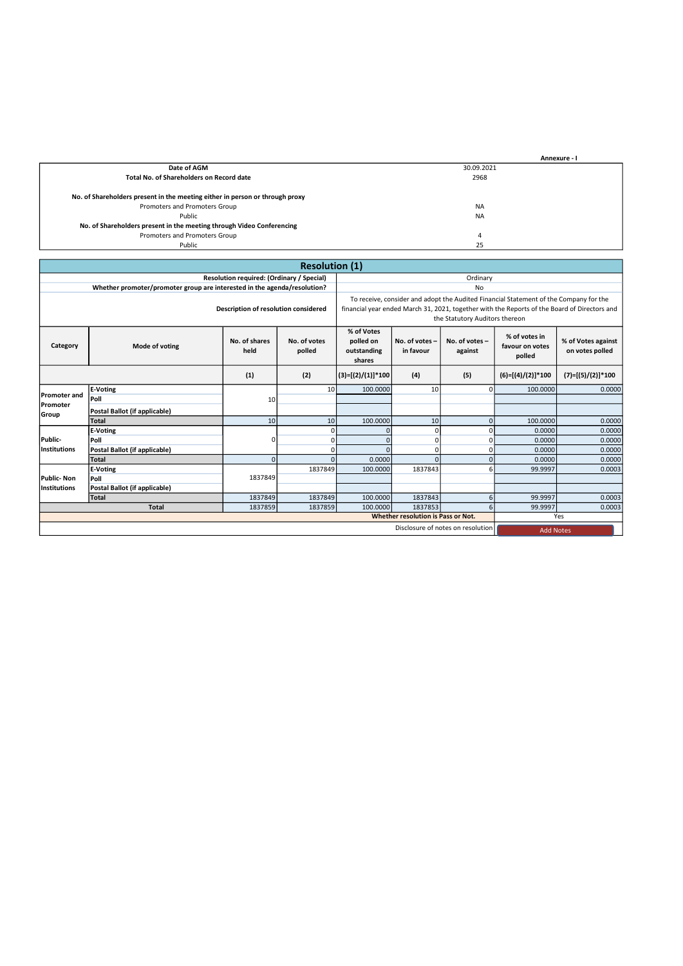|                                                                              | Annexure - I |  |
|------------------------------------------------------------------------------|--------------|--|
| Date of AGM                                                                  | 30.09.2021   |  |
| Total No. of Shareholders on Record date                                     | 2968         |  |
|                                                                              |              |  |
| No. of Shareholders present in the meeting either in person or through proxy |              |  |
| Promoters and Promoters Group                                                | <b>NA</b>    |  |
| Public                                                                       | <b>NA</b>    |  |
| No. of Shareholders present in the meeting through Video Conferencing        |              |  |
| Promoters and Promoters Group                                                | 4            |  |
| Public                                                                       | 25           |  |

| <b>Resolution (1)</b>                |                                                                                                                                                                                   |                 |                                                                                                                                                                                                                         |                     |                                            |                                       |                     |                     |
|--------------------------------------|-----------------------------------------------------------------------------------------------------------------------------------------------------------------------------------|-----------------|-------------------------------------------------------------------------------------------------------------------------------------------------------------------------------------------------------------------------|---------------------|--------------------------------------------|---------------------------------------|---------------------|---------------------|
|                                      | Resolution required: (Ordinary / Special)                                                                                                                                         |                 |                                                                                                                                                                                                                         |                     | Ordinary                                   |                                       |                     |                     |
|                                      | Whether promoter/promoter group are interested in the agenda/resolution?                                                                                                          |                 |                                                                                                                                                                                                                         |                     |                                            | No                                    |                     |                     |
| Description of resolution considered |                                                                                                                                                                                   |                 | To receive, consider and adopt the Audited Financial Statement of the Company for the<br>financial year ended March 31, 2021, together with the Reports of the Board of Directors and<br>the Statutory Auditors thereon |                     |                                            |                                       |                     |                     |
| Category                             | % of Votes<br>No. of shares<br>No. of votes<br>polled on<br>No. of votes -<br>No. of votes -<br>Mode of voting<br>held<br>polled<br>in favour<br>outstanding<br>against<br>shares |                 |                                                                                                                                                                                                                         |                     | % of votes in<br>favour on votes<br>polled | % of Votes against<br>on votes polled |                     |                     |
|                                      |                                                                                                                                                                                   | (1)             | (2)                                                                                                                                                                                                                     | $(3)=[(2)/(1)]*100$ | (4)                                        | (5)                                   | $(6)=[(4)/(2)]*100$ | $(7)=[(5)/(2)]*100$ |
|                                      | E-Voting                                                                                                                                                                          |                 | 10                                                                                                                                                                                                                      | 100.0000            | 10 <sup>1</sup>                            | $\Omega$                              | 100,0000            | 0.0000              |
| <b>Promoter and</b>                  | <b>Poll</b>                                                                                                                                                                       | 10 <sup>1</sup> |                                                                                                                                                                                                                         |                     |                                            |                                       |                     |                     |
| Promoter<br>Group                    | Postal Ballot (if applicable)                                                                                                                                                     |                 |                                                                                                                                                                                                                         |                     |                                            |                                       |                     |                     |
|                                      | <b>Total</b>                                                                                                                                                                      | 10 <sup>1</sup> | 10                                                                                                                                                                                                                      | 100.0000            | 10 <sup>1</sup>                            | $\Omega$                              | 100,0000            | 0.0000              |
|                                      | E-Voting                                                                                                                                                                          |                 | $\Omega$                                                                                                                                                                                                                |                     | $\Omega$                                   | $\Omega$                              | 0.0000              | 0.0000              |
| Public-                              | <b>Poll</b>                                                                                                                                                                       | 0               | $\Omega$                                                                                                                                                                                                                |                     | $\Omega$                                   | 0                                     | 0.0000              | 0.0000              |
| Institutions                         | Postal Ballot (if applicable)                                                                                                                                                     |                 | 0                                                                                                                                                                                                                       |                     | $\Omega$                                   | <sup>0</sup>                          | 0.0000              | 0.0000              |
|                                      | Total                                                                                                                                                                             | $\Omega$        | $\Omega$                                                                                                                                                                                                                | 0.0000              | $\Omega$                                   | $\Omega$                              | 0.0000              | 0.0000              |
|                                      | <b>E-Voting</b>                                                                                                                                                                   |                 | 1837849                                                                                                                                                                                                                 | 100.0000            | 1837843                                    | 6                                     | 99.9997             | 0.0003              |
| Public-Non                           | <b>Poll</b>                                                                                                                                                                       | 1837849         |                                                                                                                                                                                                                         |                     |                                            |                                       |                     |                     |
| Institutions                         | Postal Ballot (if applicable)                                                                                                                                                     |                 |                                                                                                                                                                                                                         |                     |                                            |                                       |                     |                     |
|                                      | Total                                                                                                                                                                             | 1837849         | 1837849                                                                                                                                                                                                                 | 100,0000            | 1837843                                    | $6 \mid$                              | 99.9997             | 0.0003              |
|                                      | <b>Total</b>                                                                                                                                                                      | 1837859         | 1837859                                                                                                                                                                                                                 | 100.0000            | 1837853                                    | 6                                     | 99.9997             | 0.0003              |
|                                      | <b>Whether resolution is Pass or Not.</b>                                                                                                                                         |                 |                                                                                                                                                                                                                         |                     |                                            |                                       | Yes                 |                     |
|                                      | Disclosure of notes on resolution                                                                                                                                                 |                 |                                                                                                                                                                                                                         |                     |                                            | <b>Add Notes</b>                      |                     |                     |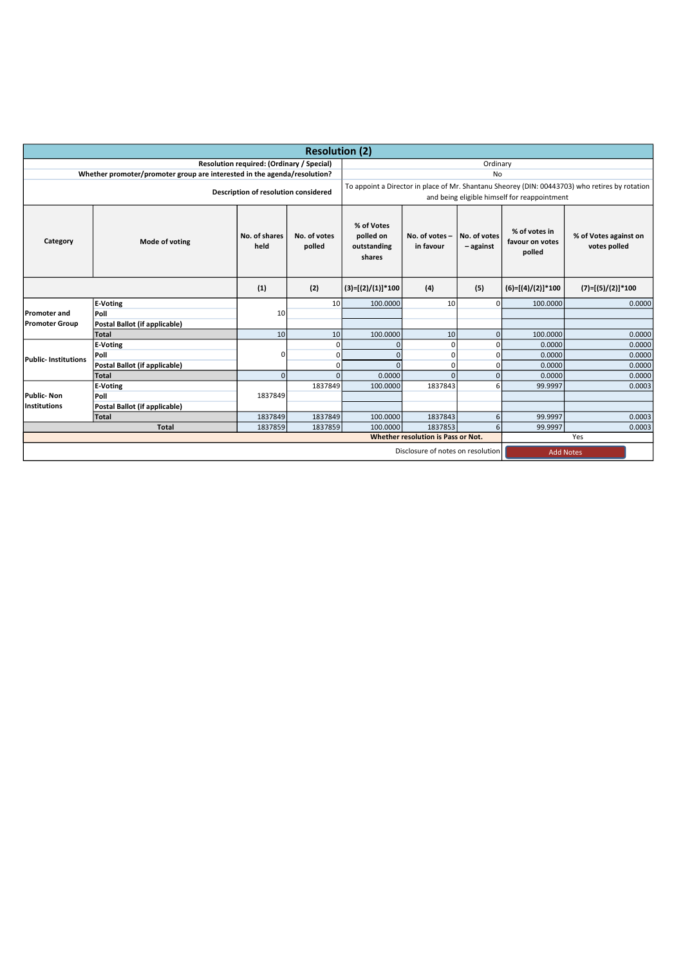| <b>Resolution (2)</b>                |                                                                          |                                           |                        |                                                  |                                   |                             |                                              |                                                                                                |
|--------------------------------------|--------------------------------------------------------------------------|-------------------------------------------|------------------------|--------------------------------------------------|-----------------------------------|-----------------------------|----------------------------------------------|------------------------------------------------------------------------------------------------|
|                                      |                                                                          | Resolution required: (Ordinary / Special) |                        |                                                  |                                   | Ordinary                    |                                              |                                                                                                |
|                                      | Whether promoter/promoter group are interested in the agenda/resolution? |                                           |                        |                                                  |                                   | No                          |                                              |                                                                                                |
| Description of resolution considered |                                                                          |                                           |                        |                                                  |                                   |                             | and being eligible himself for reappointment | To appoint a Director in place of Mr. Shantanu Sheorey (DIN: 00443703) who retires by rotation |
| Category                             | Mode of voting                                                           | No. of shares<br>held                     | No. of votes<br>polled | % of Votes<br>polled on<br>outstanding<br>shares | No. of votes -<br>in favour       | No. of votes<br>$-$ against | % of votes in<br>favour on votes<br>polled   | % of Votes against on<br>votes polled                                                          |
|                                      |                                                                          | (1)                                       | (2)                    | $(3)=[(2)/(1)]*100$                              | (4)                               | (5)                         | $(6)=[(4)/(2)]*100$                          | $(7)=[(5)/(2)]*100$                                                                            |
|                                      | E-Voting                                                                 |                                           | 10 <sup>1</sup>        | 100.0000                                         | 10                                | $\Omega$                    | 100.0000                                     | 0.0000                                                                                         |
| <b>Promoter and</b>                  | Poll                                                                     | 10                                        |                        |                                                  |                                   |                             |                                              |                                                                                                |
| <b>Promoter Group</b>                | Postal Ballot (if applicable)                                            |                                           |                        |                                                  |                                   |                             |                                              |                                                                                                |
|                                      | Total                                                                    | 10                                        | 10 <sup>1</sup>        | 100.0000                                         | 10                                | $\mathbf 0$                 | 100.0000                                     | 0.0000                                                                                         |
|                                      | <b>E-Voting</b>                                                          |                                           | $\Omega$               | 0                                                | U                                 | <sup>0</sup>                | 0.0000                                       | 0.0000                                                                                         |
| <b>Public- Institutions</b>          | Poll                                                                     | $\Omega$                                  | $\Omega$               | $\Omega$                                         | U                                 | 0                           | 0.0000                                       | 0.0000                                                                                         |
|                                      | Postal Ballot (if applicable)                                            |                                           | 0                      | $\Omega$                                         | 0                                 | 0                           | 0.0000                                       | 0.0000                                                                                         |
|                                      | Total                                                                    | $\Omega$                                  | $\Omega$               | 0.0000                                           | O.                                | $\mathbf 0$                 | 0.0000                                       | 0.0000                                                                                         |
|                                      | E-Voting                                                                 |                                           | 1837849                | 100.0000                                         | 1837843                           | 6                           | 99.9997                                      | 0.0003                                                                                         |
| Public- Non                          | Poll                                                                     | 1837849                                   |                        |                                                  |                                   |                             |                                              |                                                                                                |
| Institutions                         | Postal Ballot (if applicable)                                            |                                           |                        |                                                  |                                   |                             |                                              |                                                                                                |
|                                      | Total                                                                    | 1837849                                   | 1837849                | 100.0000                                         | 1837843                           | 6                           | 99.9997                                      | 0.0003                                                                                         |
|                                      | <b>Total</b>                                                             | 1837859                                   | 1837859                | 100.0000                                         | 1837853                           | 6                           | 99.9997                                      | 0.0003                                                                                         |
| Whether resolution is Pass or Not.   |                                                                          |                                           |                        |                                                  | Yes                               |                             |                                              |                                                                                                |
|                                      |                                                                          |                                           |                        |                                                  | Disclosure of notes on resolution |                             |                                              | <b>Add Notes</b>                                                                               |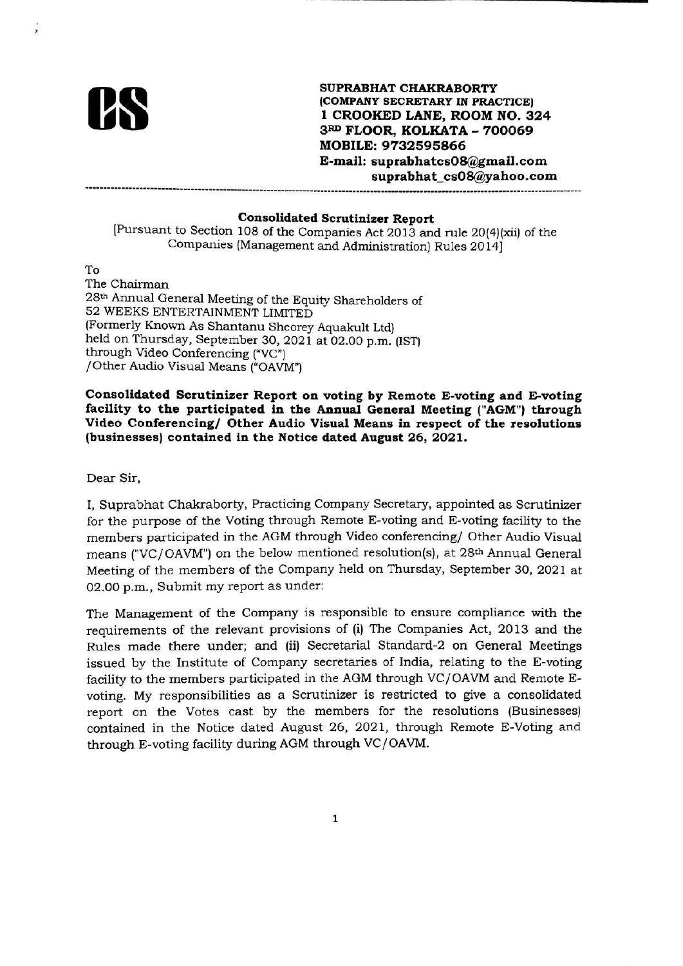

SUPRABHAT CHAKRABORTY (COMPANY SECRETARY IN PRACTICE) 1 CROOKED LANE, ROOM NO. 324 3RD FLOOR, KOLKATA - 700069 **MOBILE: 9732595866** E-mail: suprabhatcs08@gmail.com suprabhat cs08@yahoo.com

### **Consolidated Scrutinizer Report**

[Pursuant to Section 108 of the Companies Act 2013 and rule 20(4)(xii) of the Companies (Management and Administration) Rules 2014]

To The Chairman 28<sup>th</sup> Annual General Meeting of the Equity Shareholders of 52 WEEKS ENTERTAINMENT LIMITED (Formerly Known As Shantanu Sheorey Aquakult Ltd) held on Thursday, September 30, 2021 at 02.00 p.m. (IST) through Video Conferencing ("VC") /Other Audio Visual Means ("OAVM")

Consolidated Scrutinizer Report on voting by Remote E-voting and E-voting facility to the participated in the Annual General Meeting ("AGM") through Video Conferencing/ Other Audio Visual Means in respect of the resolutions (businesses) contained in the Notice dated August 26, 2021.

Dear Sir,

I. Suprabhat Chakraborty, Practicing Company Secretary, appointed as Scrutinizer for the purpose of the Voting through Remote E-voting and E-voting facility to the members participated in the AGM through Video conferencing/ Other Audio Visual means ("VC/OAVM") on the below mentioned resolution(s), at 28th Annual General Meeting of the members of the Company held on Thursday, September 30, 2021 at 02.00 p.m., Submit my report as under:

The Management of the Company is responsible to ensure compliance with the requirements of the relevant provisions of (i) The Companies Act, 2013 and the Rules made there under; and (ii) Secretarial Standard-2 on General Meetings issued by the Institute of Company secretaries of India, relating to the E-voting facility to the members participated in the AGM through VC/OAVM and Remote Evoting. My responsibilities as a Scrutinizer is restricted to give a consolidated report on the Votes cast by the members for the resolutions (Businesses) contained in the Notice dated August 26, 2021, through Remote E-Voting and through E-voting facility during AGM through VC/OAVM.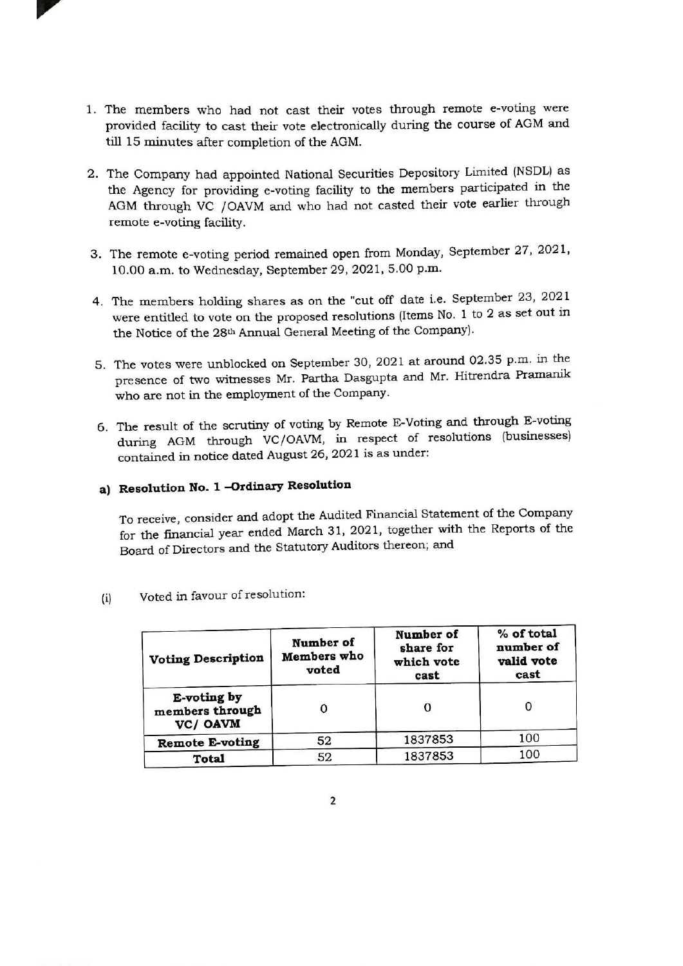- 1. The members who had not cast their votes through remote e-voting were provided facility to cast their vote electronically during the course of AGM and till 15 minutes after completion of the AGM.
- 2. The Company had appointed National Securities Depository Limited (NSDL) as the Agency for providing e-voting facility to the members participated in the AGM through VC /OAVM and who had not casted their vote earlier through remote e-voting facility.
- 3. The remote e-voting period remained open from Monday, September 27, 2021, 10.00 a.m. to Wednesday, September 29, 2021, 5.00 p.m.
- 4. The members holding shares as on the "cut off date i.e. September 23, 2021 were entitled to vote on the proposed resolutions (Items No. 1 to 2 as set out in the Notice of the 28th Annual General Meeting of the Company).
- 5. The votes were unblocked on September 30, 2021 at around 02.35 p.m. in the presence of two witnesses Mr. Partha Dasgupta and Mr. Hitrendra Pramanik who are not in the employment of the Company.
- 6. The result of the scrutiny of voting by Remote E-Voting and through E-voting during AGM through VC/OAVM, in respect of resolutions (businesses) contained in notice dated August 26, 2021 is as under:

# a) Resolution No. 1 -Ordinary Resolution

To receive, consider and adopt the Audited Financial Statement of the Company for the financial year ended March 31, 2021, together with the Reports of the Board of Directors and the Statutory Auditors thereon; and

| <b>Voting Description</b>                  | Number of<br>Members who<br>voted | Number of<br>share for<br>which vote<br>cast | % of total<br>number of<br>valid vote<br>cast |
|--------------------------------------------|-----------------------------------|----------------------------------------------|-----------------------------------------------|
| E-voting by<br>members through<br>VC/ OAVM |                                   |                                              | 0                                             |
| <b>Remote E-voting</b>                     | 52                                | 1837853                                      | 100                                           |
| Total                                      | 52                                | 1837853                                      | 100                                           |

Voted in favour of resolution:  $(i)$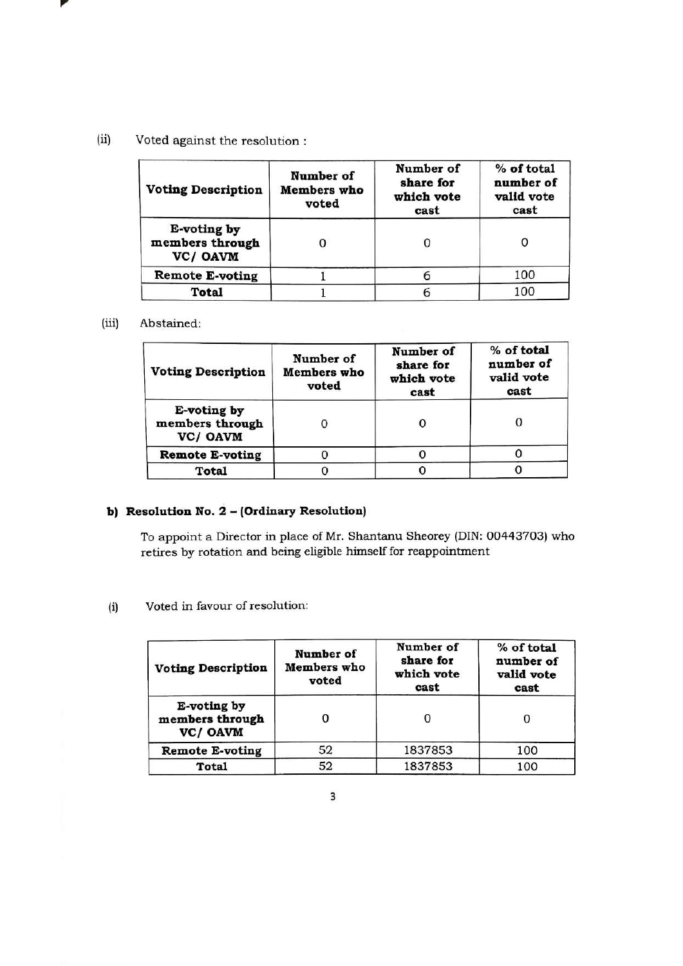### $(ii)$ Voted against the resolution :

| <b>Voting Description</b>                 | Number of<br><b>Members</b> who<br>voted | Number of<br>share for<br>which vote<br>cast | % of total<br>number of<br>valid vote<br>cast |  |
|-------------------------------------------|------------------------------------------|----------------------------------------------|-----------------------------------------------|--|
| E-voting by<br>members through<br>VC/OAVM |                                          |                                              |                                               |  |
| <b>Remote E-voting</b>                    |                                          |                                              | 100                                           |  |
| <b>Total</b>                              |                                          |                                              | 100                                           |  |

#### $(iii)$ Abstained:

| <b>Voting Description</b>                  | Number of<br><b>Members</b> who<br>voted | Number of<br>share for<br>which vote<br>cast | % of total<br>number of<br>valid vote<br>cast |
|--------------------------------------------|------------------------------------------|----------------------------------------------|-----------------------------------------------|
| E-voting by<br>members through<br>VC/ OAVM |                                          |                                              |                                               |
| <b>Remote E-voting</b>                     |                                          |                                              |                                               |
| <b>Total</b>                               |                                          |                                              |                                               |

# b) Resolution No. 2 - (Ordinary Resolution)

To appoint a Director in place of Mr. Shantanu Sheorey (DIN: 00443703) who retires by rotation and being eligible himself for reappointment

#### Voted in favour of resolution:  $(i)$

| <b>Voting Description</b>                  | Number of<br>Members who<br>voted | Number of<br>share for<br>which vote<br>cast | % of total<br>number of<br>valid vote<br>cast |
|--------------------------------------------|-----------------------------------|----------------------------------------------|-----------------------------------------------|
| E-voting by<br>members through<br>VC/ OAVM |                                   |                                              | О                                             |
| <b>Remote E-voting</b>                     | 52                                | 1837853                                      | 100                                           |
| <b>Total</b>                               | 52                                | 1837853                                      | 100                                           |